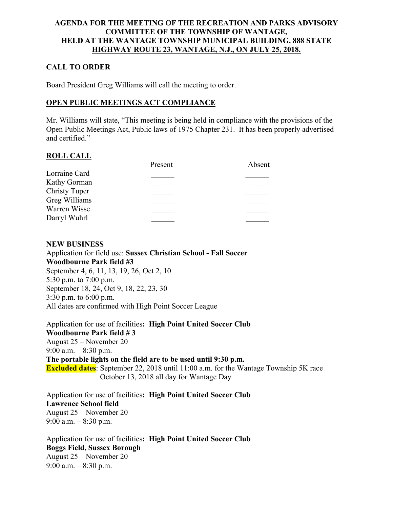### **AGENDA FOR THE MEETING OF THE RECREATION AND PARKS ADVISORY COMMITTEE OF THE TOWNSHIP OF WANTAGE, HELD AT THE WANTAGE TOWNSHIP MUNICIPAL BUILDING, 888 STATE HIGHWAY ROUTE 23, WANTAGE, N.J., ON JULY 25, 2018.**

# **CALL TO ORDER**

Board President Greg Williams will call the meeting to order.

### **OPEN PUBLIC MEETINGS ACT COMPLIANCE**

Mr. Williams will state, "This meeting is being held in compliance with the provisions of the Open Public Meetings Act, Public laws of 1975 Chapter 231. It has been properly advertised and certified."

### **ROLL CALL**

|                      | Present | Absent |
|----------------------|---------|--------|
| Lorraine Card        |         |        |
| Kathy Gorman         |         |        |
| <b>Christy Tuper</b> |         |        |
| Greg Williams        |         |        |
| Warren Wisse         |         |        |
| Darryl Wuhrl         |         |        |
|                      |         |        |

### **NEW BUSINESS**

Application for field use: **Sussex Christian School - Fall Soccer Woodbourne Park field #3** September 4, 6, 11, 13, 19, 26, Oct 2, 10 5:30 p.m. to 7:00 p.m. September 18, 24, Oct 9, 18, 22, 23, 30 3:30 p.m. to 6:00 p.m. All dates are confirmed with High Point Soccer League

Application for use of facilities**: High Point United Soccer Club Woodbourne Park field # 3** August 25 – November 20 9:00 a.m.  $-8:30$  p.m. **The portable lights on the field are to be used until 9:30 p.m. Excluded dates**: September 22, 2018 until 11:00 a.m. for the Wantage Township 5K race October 13, 2018 all day for Wantage Day

Application for use of facilities**: High Point United Soccer Club Lawrence School field**  August 25 – November 20 9:00 a.m.  $-$  8:30 p.m.

Application for use of facilities**: High Point United Soccer Club Boggs Field, Sussex Borough** August 25 – November 20 9:00 a.m. – 8:30 p.m.